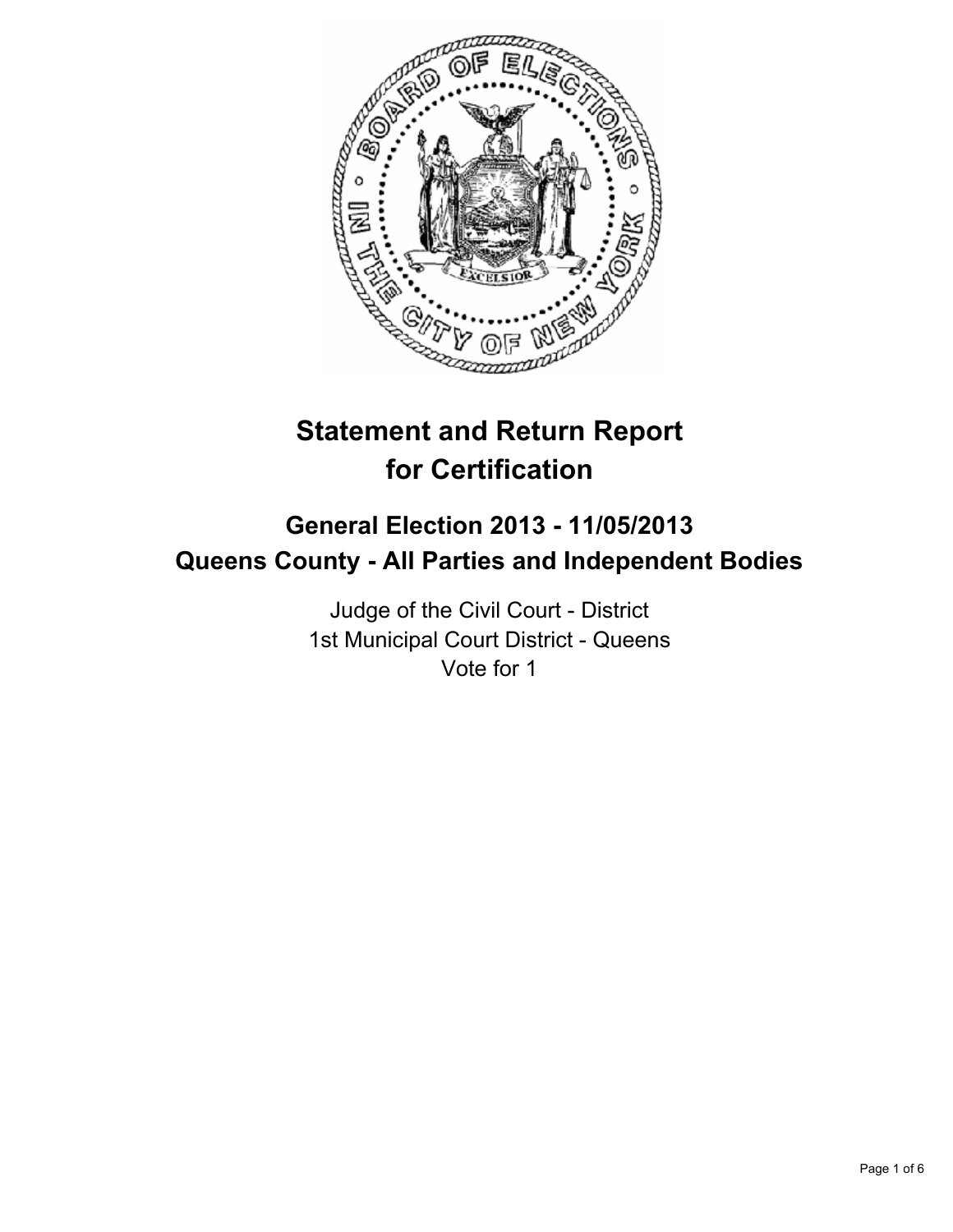

# **Statement and Return Report for Certification**

## **General Election 2013 - 11/05/2013 Queens County - All Parties and Independent Bodies**

Judge of the Civil Court - District 1st Municipal Court District - Queens Vote for 1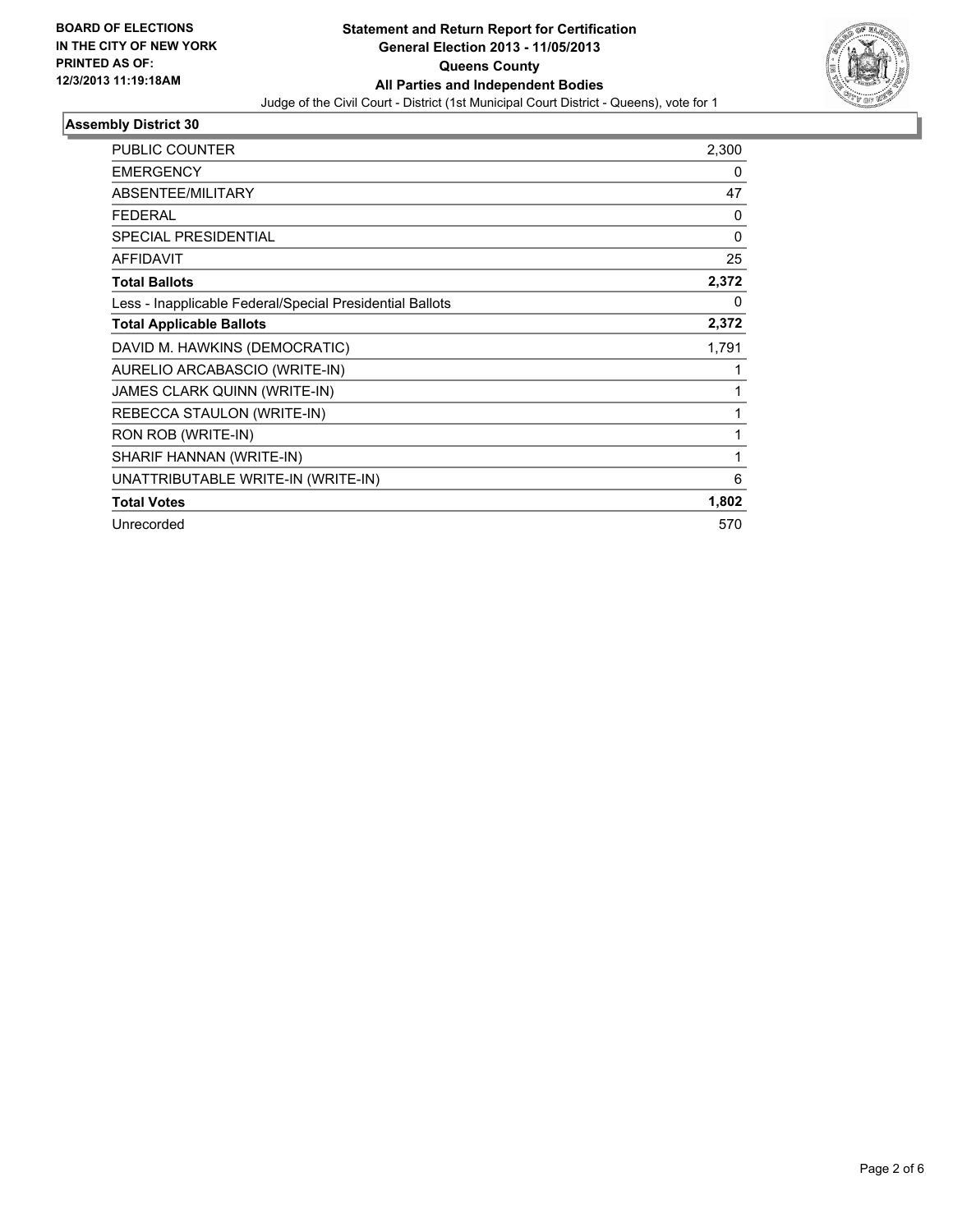

## **Assembly District 30**

| PUBLIC COUNTER                                           | 2,300 |
|----------------------------------------------------------|-------|
| <b>EMERGENCY</b>                                         | 0     |
| ABSENTEE/MILITARY                                        | 47    |
| <b>FEDERAL</b>                                           | 0     |
| <b>SPECIAL PRESIDENTIAL</b>                              | 0     |
| <b>AFFIDAVIT</b>                                         | 25    |
| <b>Total Ballots</b>                                     | 2,372 |
| Less - Inapplicable Federal/Special Presidential Ballots | 0     |
| <b>Total Applicable Ballots</b>                          | 2,372 |
| DAVID M. HAWKINS (DEMOCRATIC)                            | 1,791 |
| AURELIO ARCABASCIO (WRITE-IN)                            | 1     |
| <b>JAMES CLARK QUINN (WRITE-IN)</b>                      | 1     |
| REBECCA STAULON (WRITE-IN)                               | 1     |
| RON ROB (WRITE-IN)                                       | 1     |
| SHARIF HANNAN (WRITE-IN)                                 | 1     |
| UNATTRIBUTABLE WRITE-IN (WRITE-IN)                       | 6     |
| <b>Total Votes</b>                                       | 1,802 |
| Unrecorded                                               | 570   |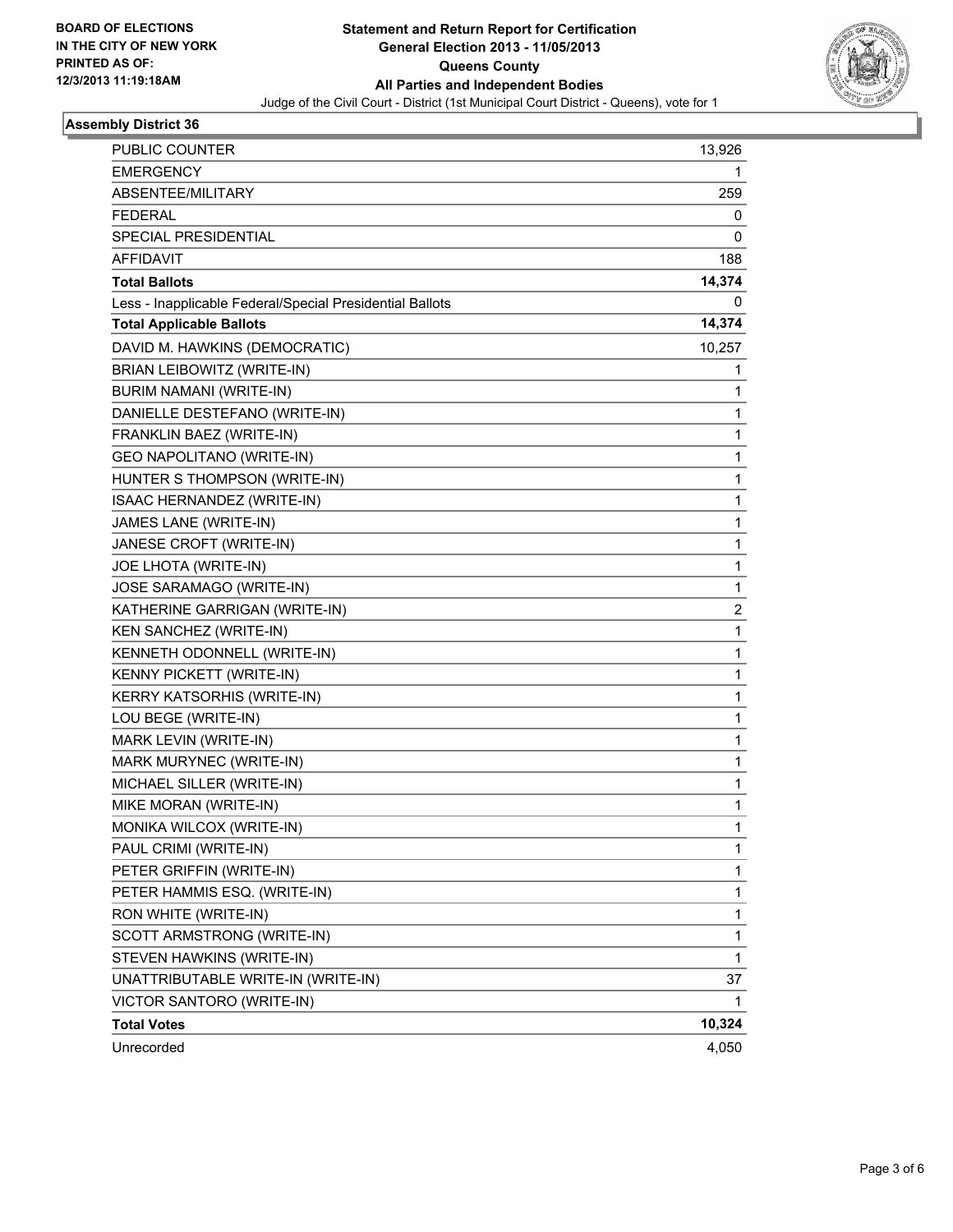

#### **Assembly District 36**

| PUBLIC COUNTER                                           | 13,926       |
|----------------------------------------------------------|--------------|
| <b>EMERGENCY</b>                                         | 1            |
| ABSENTEE/MILITARY                                        | 259          |
| <b>FEDERAL</b>                                           | 0            |
| SPECIAL PRESIDENTIAL                                     | 0            |
| AFFIDAVIT                                                | 188          |
| <b>Total Ballots</b>                                     | 14,374       |
| Less - Inapplicable Federal/Special Presidential Ballots | 0            |
| <b>Total Applicable Ballots</b>                          | 14,374       |
| DAVID M. HAWKINS (DEMOCRATIC)                            | 10,257       |
| BRIAN LEIBOWITZ (WRITE-IN)                               | 1            |
| BURIM NAMANI (WRITE-IN)                                  | 1            |
| DANIELLE DESTEFANO (WRITE-IN)                            | 1            |
| FRANKLIN BAEZ (WRITE-IN)                                 | 1            |
| GEO NAPOLITANO (WRITE-IN)                                | 1            |
| HUNTER S THOMPSON (WRITE-IN)                             | 1            |
| ISAAC HERNANDEZ (WRITE-IN)                               | 1            |
| JAMES LANE (WRITE-IN)                                    | 1            |
| JANESE CROFT (WRITE-IN)                                  | 1            |
| JOE LHOTA (WRITE-IN)                                     | $\mathbf{1}$ |
| JOSE SARAMAGO (WRITE-IN)                                 | 1            |
| KATHERINE GARRIGAN (WRITE-IN)                            | 2            |
| KEN SANCHEZ (WRITE-IN)                                   | $\mathbf{1}$ |
| KENNETH ODONNELL (WRITE-IN)                              | 1            |
| KENNY PICKETT (WRITE-IN)                                 | 1            |
| <b>KERRY KATSORHIS (WRITE-IN)</b>                        | 1            |
| LOU BEGE (WRITE-IN)                                      | 1            |
| MARK LEVIN (WRITE-IN)                                    | 1            |
| MARK MURYNEC (WRITE-IN)                                  | 1            |
| MICHAEL SILLER (WRITE-IN)                                | 1            |
| MIKE MORAN (WRITE-IN)                                    | 1            |
| MONIKA WILCOX (WRITE-IN)                                 | 1            |
| PAUL CRIMI (WRITE-IN)                                    | 1            |
| PETER GRIFFIN (WRITE-IN)                                 | 1            |
| PETER HAMMIS ESQ. (WRITE-IN)                             | 1            |
| RON WHITE (WRITE-IN)                                     | 1            |
| SCOTT ARMSTRONG (WRITE-IN)                               | 1            |
| STEVEN HAWKINS (WRITE-IN)                                | 1            |
| UNATTRIBUTABLE WRITE-IN (WRITE-IN)                       | 37           |
| VICTOR SANTORO (WRITE-IN)                                | 1            |
| <b>Total Votes</b>                                       | 10,324       |
| Unrecorded                                               | 4,050        |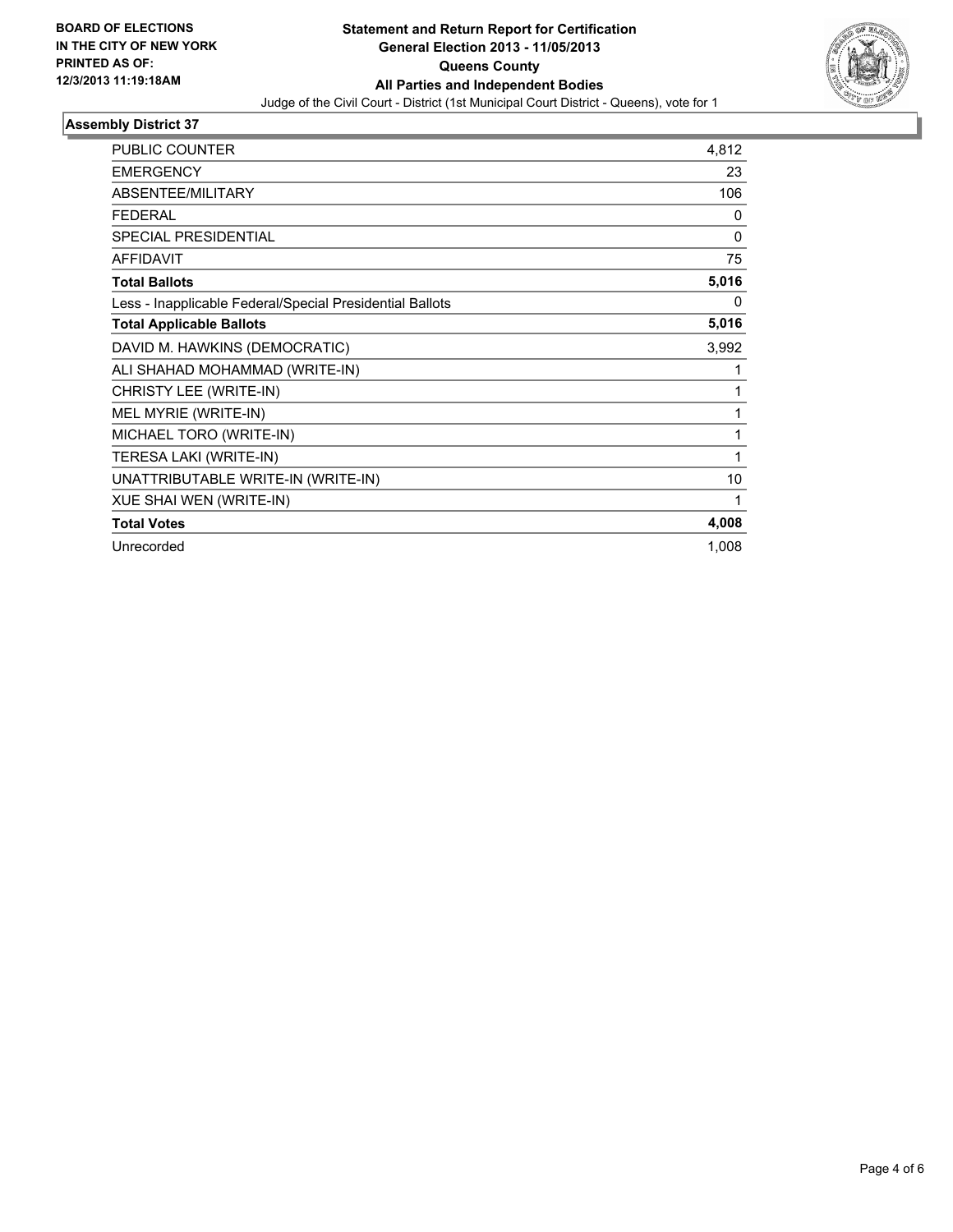

## **Assembly District 37**

| <b>PUBLIC COUNTER</b>                                    | 4,812        |
|----------------------------------------------------------|--------------|
| <b>EMERGENCY</b>                                         | 23           |
| <b>ABSENTEE/MILITARY</b>                                 | 106          |
| <b>FEDERAL</b>                                           | 0            |
| <b>SPECIAL PRESIDENTIAL</b>                              | $\mathbf{0}$ |
| <b>AFFIDAVIT</b>                                         | 75           |
| <b>Total Ballots</b>                                     | 5,016        |
| Less - Inapplicable Federal/Special Presidential Ballots | 0            |
| <b>Total Applicable Ballots</b>                          | 5,016        |
| DAVID M. HAWKINS (DEMOCRATIC)                            | 3,992        |
| ALI SHAHAD MOHAMMAD (WRITE-IN)                           | 1            |
| CHRISTY LEE (WRITE-IN)                                   | 1            |
| MEL MYRIE (WRITE-IN)                                     | 1            |
| MICHAEL TORO (WRITE-IN)                                  | 1            |
| TERESA LAKI (WRITE-IN)                                   | 1            |
| UNATTRIBUTABLE WRITE-IN (WRITE-IN)                       | 10           |
| XUE SHAI WEN (WRITE-IN)                                  | 1            |
| <b>Total Votes</b>                                       | 4,008        |
| Unrecorded                                               | 1,008        |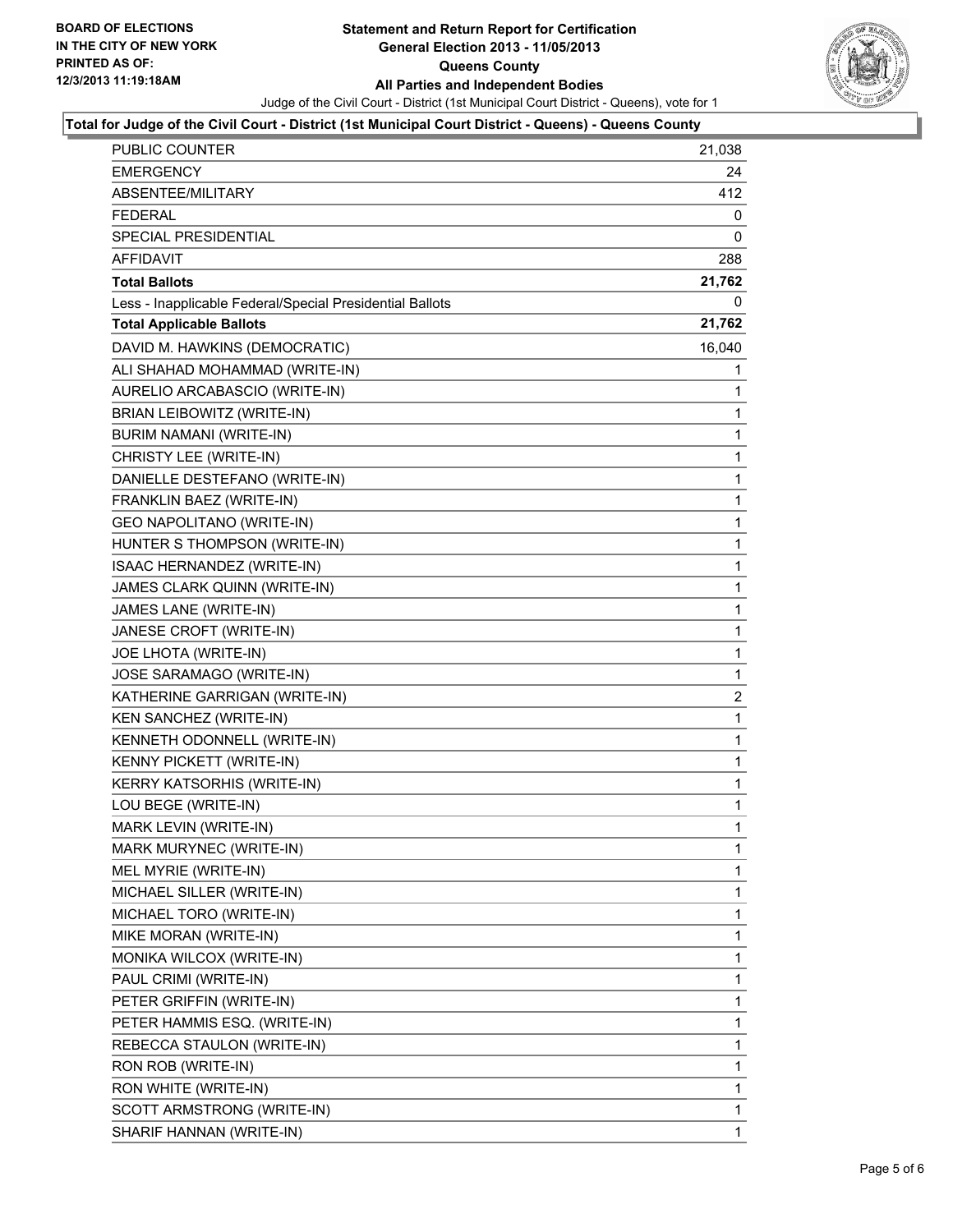

#### **Total for Judge of the Civil Court - District (1st Municipal Court District - Queens) - Queens County**

| <b>PUBLIC COUNTER</b>                                    | 21,038         |
|----------------------------------------------------------|----------------|
| <b>EMERGENCY</b>                                         | 24             |
| ABSENTEE/MILITARY                                        | 412            |
| <b>FEDERAL</b>                                           | 0              |
| SPECIAL PRESIDENTIAL                                     | 0              |
| AFFIDAVIT                                                | 288            |
| <b>Total Ballots</b>                                     | 21,762         |
| Less - Inapplicable Federal/Special Presidential Ballots | 0              |
| <b>Total Applicable Ballots</b>                          | 21,762         |
| DAVID M. HAWKINS (DEMOCRATIC)                            | 16,040         |
| ALI SHAHAD MOHAMMAD (WRITE-IN)                           | 1              |
| AURELIO ARCABASCIO (WRITE-IN)                            | 1              |
| BRIAN LEIBOWITZ (WRITE-IN)                               | 1              |
| BURIM NAMANI (WRITE-IN)                                  | $\mathbf{1}$   |
| CHRISTY LEE (WRITE-IN)                                   | 1              |
| DANIELLE DESTEFANO (WRITE-IN)                            | 1              |
| FRANKLIN BAEZ (WRITE-IN)                                 | 1              |
| <b>GEO NAPOLITANO (WRITE-IN)</b>                         | 1              |
| HUNTER S THOMPSON (WRITE-IN)                             | 1              |
| ISAAC HERNANDEZ (WRITE-IN)                               | $\mathbf{1}$   |
| JAMES CLARK QUINN (WRITE-IN)                             | 1              |
| JAMES LANE (WRITE-IN)                                    | 1              |
| JANESE CROFT (WRITE-IN)                                  | 1              |
| JOE LHOTA (WRITE-IN)                                     | 1              |
| JOSE SARAMAGO (WRITE-IN)                                 | 1              |
| KATHERINE GARRIGAN (WRITE-IN)                            | $\overline{c}$ |
| KEN SANCHEZ (WRITE-IN)                                   | 1              |
| KENNETH ODONNELL (WRITE-IN)                              | 1              |
| KENNY PICKETT (WRITE-IN)                                 | 1              |
| <b>KERRY KATSORHIS (WRITE-IN)</b>                        | 1              |
| LOU BEGE (WRITE-IN)                                      | 1              |
| MARK LEVIN (WRITE-IN)                                    | $\mathbf{1}$   |
| MARK MURYNEC (WRITE-IN)                                  | 1              |
| MEL MYRIE (WRITE-IN)                                     | 1              |
| MICHAEL SILLER (WRITE-IN)                                | 1              |
| MICHAEL TORO (WRITE-IN)                                  | 1              |
| MIKE MORAN (WRITE-IN)                                    | 1              |
| MONIKA WILCOX (WRITE-IN)                                 | 1              |
| PAUL CRIMI (WRITE-IN)                                    | 1              |
| PETER GRIFFIN (WRITE-IN)                                 | 1              |
| PETER HAMMIS ESQ. (WRITE-IN)                             | 1              |
| REBECCA STAULON (WRITE-IN)                               | 1              |
| RON ROB (WRITE-IN)                                       | 1              |
| RON WHITE (WRITE-IN)                                     | 1              |
| SCOTT ARMSTRONG (WRITE-IN)                               | 1              |
| SHARIF HANNAN (WRITE-IN)                                 | 1              |
|                                                          |                |